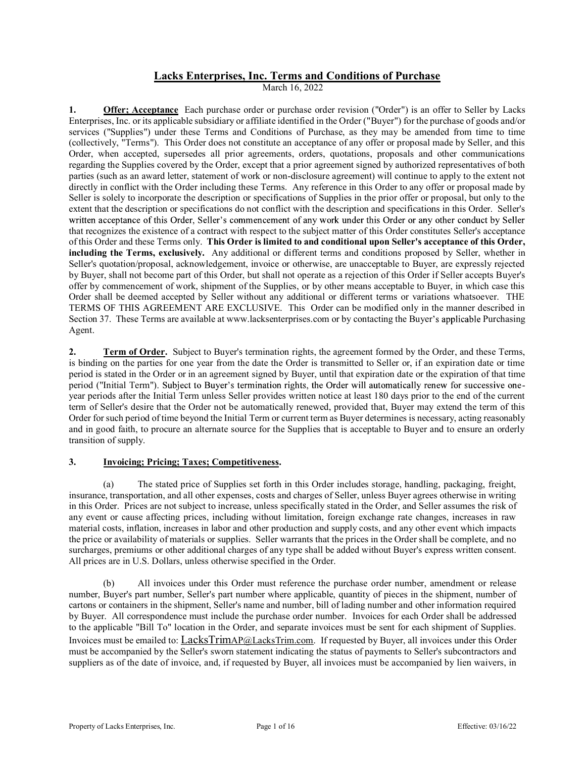# Lacks Enterprises, Inc. Terms and Conditions of Purchase

March 16, 2022

1. **Offer; Acceptance** Each purchase order or purchase order revision ("Order") is an offer to Seller by Lacks Enterprises, Inc. or its applicable subsidiary or affiliate identified in the Order ("Buyer") for the purchase of goods and/or services ("Supplies") under these Terms and Conditions of Purchase, as they may be amended from time to time (collectively, "Terms"). This Order does not constitute an acceptance of any offer or proposal made by Seller, and this Order, when accepted, supersedes all prior agreements, orders, quotations, proposals and other communications regarding the Supplies covered by the Order, except that a prior agreement signed by authorized representatives of both parties (such as an award letter, statement of work or non-disclosure agreement) will continue to apply to the extent not directly in conflict with the Order including these Terms. Any reference in this Order to any offer or proposal made by Seller is solely to incorporate the description or specifications of Supplies in the prior offer or proposal, but only to the extent that the description or specifications do not conflict with the description and specifications in this Order. Seller's that recognizes the existence of a contract with respect to the subject matter of this Order constitutes Seller's acceptance **Lacks Enterprises, Inc. Terms and Conditions of Purchase**<br> **Mach 16, 2022**<br> **Mach 16, 2022**<br> **Conditions controllated these Terms and Conditions of Purchase**<br> **Enterprises Lnc. or its applicable anbidiaty or affiliate ide** including the Terms, exclusively. Any additional or different terms and conditions proposed by Seller, whether in Seller's quotation/proposal, acknowledgement, invoice or otherwise, are unacceptable to Buyer, are expressly rejected by Buyer, shall not become part of this Order, but shall not operate as a rejection of this Order if Seller accepts Buyer's offer by commencement of work, shipment of the Supplies, or by other means acceptable to Buyer, in which case this Order shall be deemed accepted by Seller without any additional or different terms or variations whatsoever. THE TERMS OF THIS AGREEMENT ARE EXCLUSIVE. This Order can be modified only in the manner described in Section 37. These Terms are available at www.lacksenterprises.com or by contacting the Buyer's applicable Purchasing Agent.

2. Term of Order. Subject to Buyer's termination rights, the agreement formed by the Order, and these Terms, is binding on the parties for one year from the date the Order is transmitted to Seller or, if an expiration date or time period is stated in the Order or in an agreement signed by Buyer, until that expiration date or the expiration of that time period ("Initial Term"). Subject to Buyer's termination rights, the Order will automatically renew for successive oneyear periods after the Initial Term unless Seller provides written notice at least 180 days prior to the end of the current term of Seller's desire that the Order not be automatically renewed, provided that, Buyer may extend the term of this Order for such period of time beyond the Initial Term or current term as Buyer determines is necessary, acting reasonably and in good faith, to procure an alternate source for the Supplies that is acceptable to Buyer and to ensure an orderly transition of supply.

### 3. Invoicing; Pricing; Taxes; Competitiveness.

 (a) The stated price of Supplies set forth in this Order includes storage, handling, packaging, freight, insurance, transportation, and all other expenses, costs and charges of Seller, unless Buyer agrees otherwise in writing in this Order. Prices are not subject to increase, unless specifically stated in the Order, and Seller assumes the risk of any event or cause affecting prices, including without limitation, foreign exchange rate changes, increases in raw material costs, inflation, increases in labor and other production and supply costs, and any other event which impacts the price or availability of materials or supplies. Seller warrants that the prices in the Order shall be complete, and no surcharges, premiums or other additional charges of any type shall be added without Buyer's express written consent. All prices are in U.S. Dollars, unless otherwise specified in the Order.

 (b) All invoices under this Order must reference the purchase order number, amendment or release number, Buyer's part number, Seller's part number where applicable, quantity of pieces in the shipment, number of cartons or containers in the shipment, Seller's name and number, bill of lading number and other information required by Buyer. All correspondence must include the purchase order number. Invoices for each Order shall be addressed to the applicable "Bill To" location in the Order, and separate invoices must be sent for each shipment of Supplies. Invoices must be emailed to: LacksTrimAP@LacksTrim.com. If requested by Buyer, all invoices under this Order must be accompanied by the Seller's sworn statement indicating the status of payments to Seller's subcontractors and suppliers as of the date of invoice, and, if requested by Buyer, all invoices must be accompanied by lien waivers, in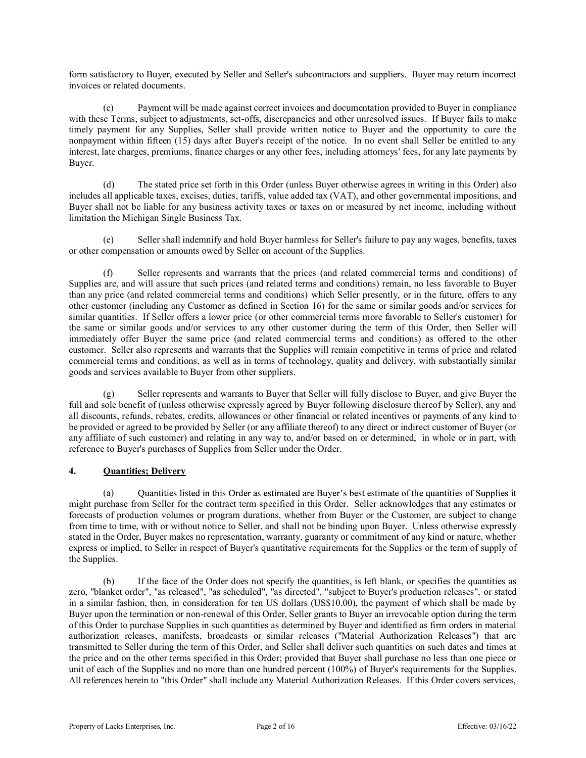form satisfactory to Buyer, executed by Seller and Seller's subcontractors and suppliers. Buyer may return incorrect invoices or related documents.

 (c) Payment will be made against correct invoices and documentation provided to Buyer in compliance form satisfactory to Buyer, executed by Seller and Seller's subcontractors and suppliers. Buyer may return incorrect invoices or related documents.<br>
(c) Payment will be made against correct invoices and documentation provi timely payment for any Supplies, Seller shall provide written notice to Buyer and the opportunity to cure the nonpayment within fifteen (15) days after Buyer's receipt of the notice. In no event shall Seller be entitled to any interest, late charges, premiums, finance charges or any other fees, including attorneys' fees, for any late payments by Buyer.

 (d) The stated price set forth in this Order (unless Buyer otherwise agrees in writing in this Order) also includes all applicable taxes, excises, duties, tariffs, value added tax (VAT), and other governmental impositions, and Buyer shall not be liable for any business activity taxes or taxes on or measured by net income, including without limitation the Michigan Single Business Tax.

Seller shall indemnify and hold Buyer harmless for Seller's failure to pay any wages, benefits, taxes or other compensation or amounts owed by Seller on account of the Supplies.

 (f) Seller represents and warrants that the prices (and related commercial terms and conditions) of Supplies are, and will assure that such prices (and related terms and conditions) remain, no less favorable to Buyer than any price (and related commercial terms and conditions) which Seller presently, or in the future, offers to any other customer (including any Customer as defined in Section 16) for the same or similar goods and/or services for similar quantities. If Seller offers a lower price (or other commercial terms more favorable to Seller's customer) for the same or similar goods and/or services to any other customer during the term of this Order, then Seller will immediately offer Buyer the same price (and related commercial terms and conditions) as offered to the other customer. Seller also represents and warrants that the Supplies will remain competitive in terms of price and related commercial terms and conditions, as well as in terms of technology, quality and delivery, with substantially similar goods and services available to Buyer from other suppliers.

 (g) Seller represents and warrants to Buyer that Seller will fully disclose to Buyer, and give Buyer the full and sole benefit of (unless otherwise expressly agreed by Buyer following disclosure thereof by Seller), any and all discounts, refunds, rebates, credits, allowances or other financial or related incentives or payments of any kind to be provided or agreed to be provided by Seller (or any affiliate thereof) to any direct or indirect customer of Buyer (or any affiliate of such customer) and relating in any way to, and/or based on or determined, in whole or in part, with reference to Buyer's purchases of Supplies from Seller under the Order.

# 4. Quantities; Delivery

(a) Quantities listed in this Order as estimated are Buyer's best estimate of the quantities of Supplies it might purchase from Seller for the contract term specified in this Order. Seller acknowledges that any estimates or forecasts of production volumes or program durations, whether from Buyer or the Customer, are subject to change from time to time, with or without notice to Seller, and shall not be binding upon Buyer. Unless otherwise expressly stated in the Order, Buyer makes no representation, warranty, guaranty or commitment of any kind or nature, whether express or implied, to Seller in respect of Buyer's quantitative requirements for the Supplies or the term of supply of the Supplies. immediately offer Royer the same price (and related commercial terms and conditions) as office and related<br>conmercial terms and conditions, as well as in terms of technology, quality and delivery, with substantially simila

zero, "blanket order", "as released", "as scheduled", "as directed", "subject to Buyer's production releases", or stated in a similar fashion, then, in consideration for ten US dollars (US\$10.00), the payment of which shall be made by Buyer upon the termination or non-renewal of this Order, Seller grants to Buyer an irrevocable option during the term of this Order to purchase Supplies in such quantities as determined by Buyer and identified as firm orders in material authorization releases, manifests, broadcasts or similar releases ("Material Authorization Releases") that are transmitted to Seller during the term of this Order, and Seller shall deliver such quantities on such dates and times at the price and on the other terms specified in this Order; provided that Buyer shall purchase no less than one piece or unit of each of the Supplies and no more than one hundred percent (100%) of Buyer's requirements for the Supplies. All references herein to "this Order" shall include any Material Authorization Releases. If this Order covers services,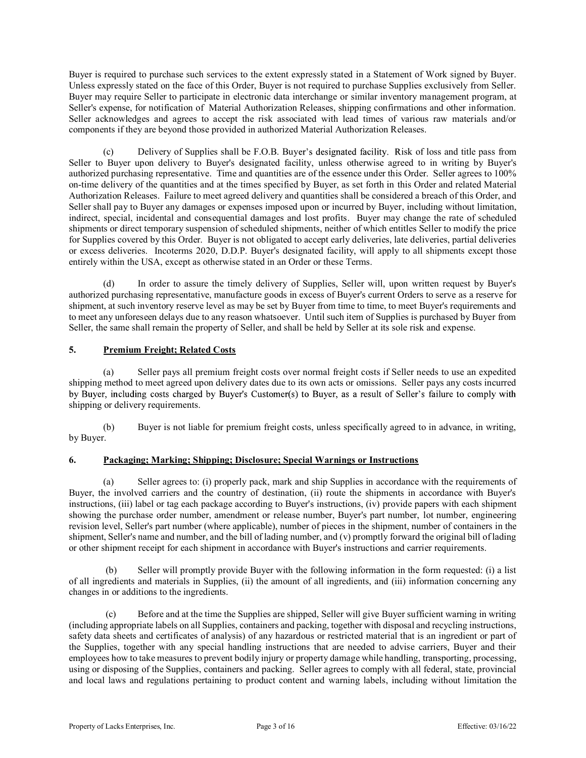Buyer is required to purchase such services to the extent expressly stated in a Statement of Work signed by Buyer. Unless expressly stated on the face of this Order, Buyer is not required to purchase Supplies exclusively from Seller. Buyer may require Seller to participate in electronic data interchange or similar inventory management program, at Seller's expense, for notification of Material Authorization Releases, shipping confirmations and other information. Seller acknowledges and agrees to accept the risk associated with lead times of various raw materials and/or components if they are beyond those provided in authorized Material Authorization Releases.

(c) Delivery of Supplies shall be F.O.B. Buyer's designated facility. Risk of loss and title pass from Seller to Buyer upon delivery to Buyer's designated facility, unless otherwise agreed to in writing by Buyer's authorized purchasing representative. Time and quantities are of the essence under this Order. Seller agrees to 100% on-time delivery of the quantities and at the times specified by Buyer, as set forth in this Order and related Material Authorization Releases. Failure to meet agreed delivery and quantities shall be considered a breach of this Order, and Seller shall pay to Buyer any damages or expenses imposed upon or incurred by Buyer, including without limitation, indirect, special, incidental and consequential damages and lost profits. Buyer may change the rate of scheduled shipments or direct temporary suspension of scheduled shipments, neither of which entitles Seller to modify the price for Supplies covered by this Order. Buyer is not obligated to accept early deliveries, late deliveries, partial deliveries or excess deliveries. Incoterms 2020, D.D.P. Buyer's designated facility, will apply to all shipments except those entirely within the USA, except as otherwise stated in an Order or these Terms.

 (d) In order to assure the timely delivery of Supplies, Seller will, upon written request by Buyer's authorized purchasing representative, manufacture goods in excess of Buyer's current Orders to serve as a reserve for shipment, at such inventory reserve level as may be set by Buyer from time to time, to meet Buyer's requirements and to meet any unforeseen delays due to any reason whatsoever. Until such item of Supplies is purchased by Buyer from Seller, the same shall remain the property of Seller, and shall be held by Seller at its sole risk and expense.

# 5. Premium Freight; Related Costs

 (a) Seller pays all premium freight costs over normal freight costs if Seller needs to use an expedited shipping method to meet agreed upon delivery dates due to its own acts or omissions. Seller pays any costs incurred by Buyer, including costs charged by Buyer's Customer(s) to Buyer, as a result of Seller's failure to comply with shipping or delivery requirements.

 (b) Buyer is not liable for premium freight costs, unless specifically agreed to in advance, in writing, by Buyer.

### 6. Packaging; Marking; Shipping; Disclosure; Special Warnings or Instructions

Seller agrees to: (i) properly pack, mark and ship Supplies in accordance with the requirements of Buyer, the involved carriers and the country of destination, (ii) route the shipments in accordance with Buyer's instructions, (iii) label or tag each package according to Buyer's instructions, (iv) provide papers with each shipment showing the purchase order number, amendment or release number, Buyer's part number, lot number, engineering revision level, Seller's part number (where applicable), number of pieces in the shipment, number of containers in the shipment, Seller's name and number, and the bill of lading number, and (v) promptly forward the original bill of lading or other shipment receipt for each shipment in accordance with Buyer's instructions and carrier requirements.

 (b) Seller will promptly provide Buyer with the following information in the form requested: (i) a list of all ingredients and materials in Supplies, (ii) the amount of all ingredients, and (iii) information concerning any changes in or additions to the ingredients.

 (c) Before and at the time the Supplies are shipped, Seller will give Buyer sufficient warning in writing (including appropriate labels on all Supplies, containers and packing, together with disposal and recycling instructions, safety data sheets and certificates of analysis) of any hazardous or restricted material that is an ingredient or part of the Supplies, together with any special handling instructions that are needed to advise carriers, Buyer and their employees how to take measures to prevent bodily injury or property damage while handling, transporting, processing, using or disposing of the Supplies, containers and packing. Seller agrees to comply with all federal, state, provincial and local laws and regulations pertaining to product content and warning labels, including without limitation the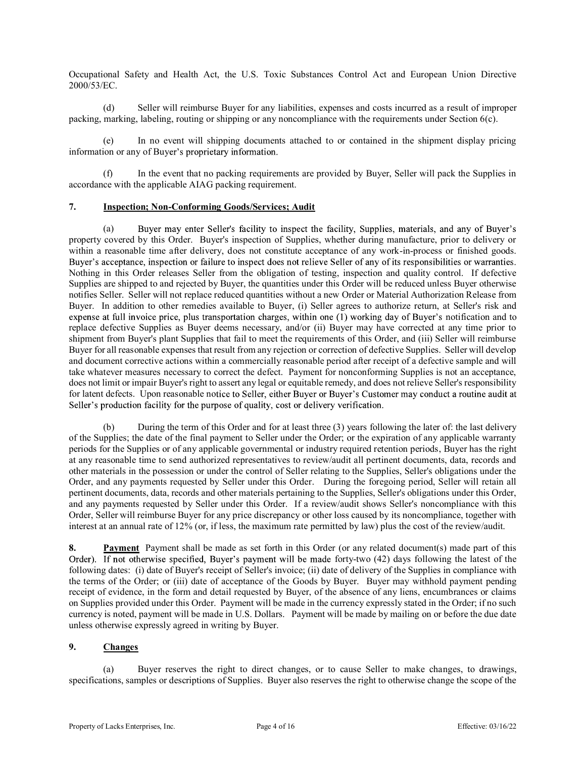Occupational Safety and Health Act, the U.S. Toxic Substances Control Act and European Union Directive 2000/53/EC.

(d) Seller will reimburse Buyer for any liabilities, expenses and costs incurred as a result of improper<br>
(d) Seller will reimburse Buyer for any liabilities, expenses and costs incurred as a result of improper<br>
packing, m packing, marking, labeling, routing or shipping or any noncompliance with the requirements under Section 6(c).

 (e) In no event will shipping documents attached to or contained in the shipment display pricing information or any of Buyer's proprietary information.

 (f) In the event that no packing requirements are provided by Buyer, Seller will pack the Supplies in accordance with the applicable AIAG packing requirement.

#### 7. Inspection; Non-Conforming Goods/Services; Audit

(a) Buyer may enter Seller's facility to inspect the facility, Supplies, materials, and any of Buyer's property covered by this Order. Buyer's inspection of Supplies, whether during manufacture, prior to delivery or within a reasonable time after delivery, does not constitute acceptance of any work-in-process or finished goods. Buyer's acceptance, inspection or failure to inspect does not relieve Seller of any of its responsibilities or warranties. Nothing in this Order releases Seller from the obligation of testing, inspection and quality control. If defective Supplies are shipped to and rejected by Buyer, the quantities under this Order will be reduced unless Buyer otherwise notifies Seller. Seller will not replace reduced quantities without a new Order or Material Authorization Release from Buyer. In addition to other remedies available to Buyer, (i) Seller agrees to authorize return, at Seller's risk and expense at full invoice price, plus transportation charges, within one (1) working day of Buyer's notification and to replace defective Supplies as Buyer deems necessary, and/or (ii) Buyer may have corrected at any time prior to shipment from Buyer's plant Supplies that fail to meet the requirements of this Order, and (iii) Seller will reimburse Buyer for all reasonable expenses that result from any rejection or correction of defective Supplies. Seller will develop and document corrective actions within a commercially reasonable period after receipt of a defective sample and will take whatever measures necessary to correct the defect. Payment for nonconforming Supplies is not an acceptance, does not limit or impair Buyer's right to assert any legal or equitable remedy, and does not relieve Seller's responsibility for latent defects. Upon reasonable notice to Seller, either Buyer or Buyer's Customer may conduct a routine audit at

 (b) During the term of this Order and for at least three (3) years following the later of: the last delivery of the Supplies; the date of the final payment to Seller under the Order; or the expiration of any applicable warranty periods for the Supplies or of any applicable governmental or industry required retention periods, Buyer has the right at any reasonable time to send authorized representatives to review/audit all pertinent documents, data, records and other materials in the possession or under the control of Seller relating to the Supplies, Seller's obligations under the Order, and any payments requested by Seller under this Order. During the foregoing period, Seller will retain all pertinent documents, data, records and other materials pertaining to the Supplies, Seller's obligations under this Order, and any payments requested by Seller under this Order. If a review/audit shows Seller's noncompliance with this Order, Seller will reimburse Buyer for any price discrepancy or other loss caused by its noncompliance, together with interest at an annual rate of 12% (or, if less, the maximum rate permitted by law) plus the cost of the review/audit. labe whatever measures no essessary to correct the delicit. Payment for monom forming Supplies is not an isocephenic, the delication of the delication for the material shapes in the material shapes in the delication facili

8. Payment Payment shall be made as set forth in this Order (or any related document(s) made part of this Order). If not otherwise specified, Buyer's payment will be made forty-two (42) days following the latest of the following dates: (i) date of Buyer's receipt of Seller's invoice; (ii) date of delivery of the Supplies in compliance with the terms of the Order; or (iii) date of acceptance of the Goods by Buyer. Buyer may withhold payment pending receipt of evidence, in the form and detail requested by Buyer, of the absence of any liens, encumbrances or claims on Supplies provided under this Order. Payment will be made in the currency expressly stated in the Order; if no such unless otherwise expressly agreed in writing by Buyer.

# 9. Changes

 (a) Buyer reserves the right to direct changes, or to cause Seller to make changes, to drawings, specifications, samples or descriptions of Supplies. Buyer also reserves the right to otherwise change the scope of the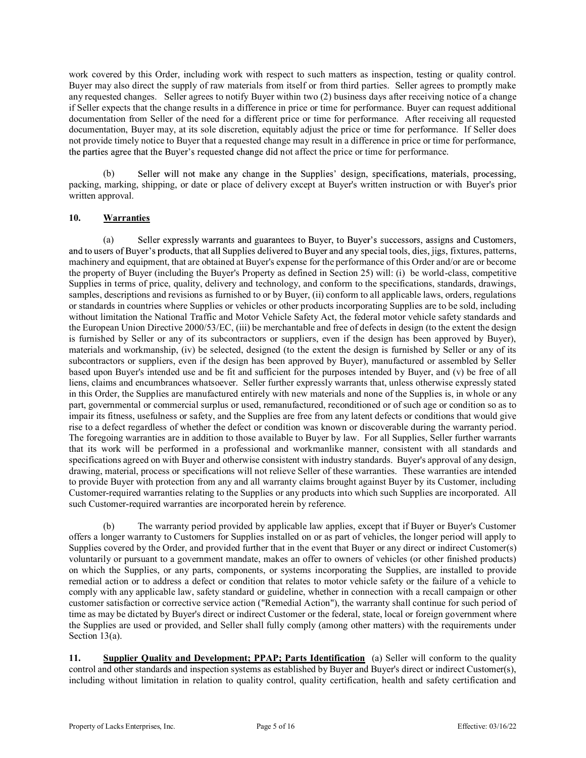work covered by this Order, including work with respect to such matters as inspection, testing or quality control. Buyer may also direct the supply of raw materials from itself or from third parties. Seller agrees to promptly make work covered by this Order, including work with respect to such matters as inspection, testing or quality control.<br>Buyer may also direct the supply of raw materials from itself or from third parties. Seller agrees to promp if Seller expects that the change results in a difference in price or time for performance. Buyer can request additional documentation from Seller of the need for a different price or time for performance. After receiving all requested documentation, Buyer may, at its sole discretion, equitably adjust the price or time for performance. If Seller does not provide timely notice to Buyer that a requested change may result in a difference in price or time for performance, the parties agree that the Buyer's requested change did not affect the price or time for performance.

(b) Seller will not make any change in the Supplies' design, specifications, materials, processing, packing, marking, shipping, or date or place of delivery except at Buyer's written instruction or with Buyer's prior written approval.

# 10. Warranties

(a) Seller expressly warrants and guarantees to Buyer, to Buyer's successors, assigns and Customers, and to users of Buyer's products, that all Supplies delivered to Buyer and any special tools, dies, jigs, fixtures, patterns, machinery and equipment, that are obtained at Buyer's expense for the performance of this Order and/or are or become the property of Buyer (including the Buyer's Property as defined in Section 25) will: (i) be world-class, competitive Supplies in terms of price, quality, delivery and technology, and conform to the specifications, standards, drawings, samples, descriptions and revisions as furnished to or by Buyer, (ii) conform to all applicable laws, orders, regulations or standards in countries where Supplies or vehicles or other products incorporating Supplies are to be sold, including without limitation the National Traffic and Motor Vehicle Safety Act, the federal motor vehicle safety standards and the European Union Directive 2000/53/EC, (iii) be merchantable and free of defects in design (to the extent the design is furnished by Seller or any of its subcontractors or suppliers, even if the design has been approved by Buyer), materials and workmanship, (iv) be selected, designed (to the extent the design is furnished by Seller or any of its subcontractors or suppliers, even if the design has been approved by Buyer), manufactured or assembled by Seller based upon Buyer's intended use and be fit and sufficient for the purposes intended by Buyer, and (v) be free of all liens, claims and encumbrances whatsoever. Seller further expressly warrants that, unless otherwise expressly stated in this Order, the Supplies are manufactured entirely with new materials and none of the Supplies is, in whole or any part, governmental or commercial surplus or used, remanufactured, reconditioned or of such age or condition so as to impair its fitness, usefulness or safety, and the Supplies are free from any latent defects or conditions that would give rise to a defect regardless of whether the defect or condition was known or discoverable during the warranty period. The foregoing warranties are in addition to those available to Buyer by law. For all Supplies, Seller further warrants that its work will be performed in a professional and workmanlike manner, consistent with all standards and specifications agreed on with Buyer and otherwise consistent with industry standards. Buyer's approval of any design, drawing, material, process or specifications will not relieve Seller of these warranties. These warranties are intended to provide Buyer with protection from any and all warranty claims brought against Buyer by its Customer, including Customer-required warranties relating to the Supplies or any products into which such Supplies are incorporated. All such Customer-required warranties are incorporated herein by reference.

 (b) The warranty period provided by applicable law applies, except that if Buyer or Buyer's Customer offers a longer warranty to Customers for Supplies installed on or as part of vehicles, the longer period will apply to Supplies covered by the Order, and provided further that in the event that Buyer or any direct or indirect Customer(s) voluntarily or pursuant to a government mandate, makes an offer to owners of vehicles (or other finished products) on which the Supplies, or any parts, components, or systems incorporating the Supplies, are installed to provide remedial action or to address a defect or condition that relates to motor vehicle safety or the failure of a vehicle to comply with any applicable law, safety standard or guideline, whether in connection with a recall campaign or other customer satisfaction or corrective service action ("Remedial Action"), the warranty shall continue for such period of time as may be dictated by Buyer's direct or indirect Customer or the federal, state, local or foreign government where the Supplies are used or provided, and Seller shall fully comply (among other matters) with the requirements under Section 13(a).

11. Supplier Quality and Development; PPAP; Parts Identification (a) Seller will conform to the quality control and other standards and inspection systems as established by Buyer and Buyer's direct or indirect Customer(s), including without limitation in relation to quality control, quality certification, health and safety certification and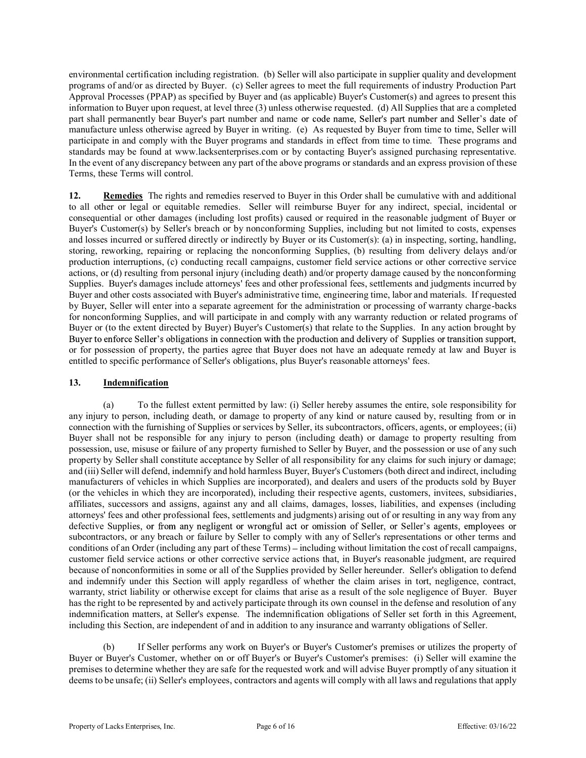environmental certification including registration. (b) Seller will also participate in supplier quality and development programs of and/or as directed by Buyer. (c) Seller agrees to meet the full requirements of industry Production Part Approval Processes (PPAP) as specified by Buyer and (as applicable) Buyer's Customer(s) and agrees to present this information to Buyer upon request, at level three (3) unless otherwise requested. (d) All Supplies that are a completed part shall permanently bear Buver's part number and name or code name. Seller's part number and Seller's date of manufacture unless otherwise agreed by Buyer in writing. (e) As requested by Buyer from time to time, Seller will participate in and comply with the Buyer programs and standards in effect from time to time. These programs and standards may be found at www.lacksenterprises.com or by contacting Buyer's assigned purchasing representative. In the event of any discrepancy between any part of the above programs or standards and an express provision of these Terms, these Terms will control.

12. Remedies The rights and remedies reserved to Buyer in this Order shall be cumulative with and additional to all other or legal or equitable remedies. Seller will reimburse Buyer for any indirect, special, incidental or consequential or other damages (including lost profits) caused or required in the reasonable judgment of Buyer or Buyer's Customer(s) by Seller's breach or by nonconforming Supplies, including but not limited to costs, expenses and losses incurred or suffered directly or indirectly by Buyer or its Customer(s): (a) in inspecting, sorting, handling, storing, reworking, repairing or replacing the nonconforming Supplies, (b) resulting from delivery delays and/or production interruptions, (c) conducting recall campaigns, customer field service actions or other corrective service actions, or (d) resulting from personal injury (including death) and/or property damage caused by the nonconforming Supplies. Buyer's damages include attorneys' fees and other professional fees, settlements and judgments incurred by Buyer and other costs associated with Buyer's administrative time, engineering time, labor and materials. If requested by Buyer, Seller will enter into a separate agreement for the administration or processing of warranty charge-backs for nonconforming Supplies, and will participate in and comply with any warranty reduction or related programs of Buyer or (to the extent directed by Buyer) Buyer's Customer(s) that relate to the Supplies. In any action brought by Buyer to enforce Seller's obligations in connection with the production and delivery of Supplies or transition support, or for possession of property, the parties agree that Buyer does not have an adequate remedy at law and Buyer is entitled to specific performance of Seller's obligations, plus Buyer's reasonable attorneys' fees.

### 13. Indemnification

 (a) To the fullest extent permitted by law: (i) Seller hereby assumes the entire, sole responsibility for any injury to person, including death, or damage to property of any kind or nature caused by, resulting from or in connection with the furnishing of Supplies or services by Seller, its subcontractors, officers, agents, or employees; (ii) Buyer shall not be responsible for any injury to person (including death) or damage to property resulting from possession, use, misuse or failure of any property furnished to Seller by Buyer, and the possession or use of any such property by Seller shall constitute acceptance by Seller of all responsibility for any claims for such injury or damage; and (iii) Seller will defend, indemnify and hold harmless Buyer, Buyer's Customers (both direct and indirect, including manufacturers of vehicles in which Supplies are incorporated), and dealers and users of the products sold by Buyer (or the vehicles in which they are incorporated), including their respective agents, customers, invitees, subsidiaries, affiliates, successors and assigns, against any and all claims, damages, losses, liabilities, and expenses (including attorneys' fees and other professional fees, settlements and judgments) arising out of or resulting in any way from any defective Supplies, or from any negligent or wrongful act or omission of Seller, or Seller's agents, employees or subcontractors, or any breach or failure by Seller to comply with any of Seller's representations or other terms and conditions of an Order (including any part of these Terms) – including without limitation the cost of recall campaigns, customer field service actions or other corrective service actions that, in Buyer's reasonable judgment, are required because of nonconformities in some or all of the Supplies provided by Seller hereunder. Seller's obligation to defend and indemnify under this Section will apply regardless of whether the claim arises in tort, negligence, contract, warranty, strict liability or otherwise except for claims that arise as a result of the sole negligence of Buyer. Buyer has the right to be represented by and actively participate through its own counsel in the defense and resolution of any indemnification matters, at Seller's expense. The indemnification obligations of Seller set forth in this Agreement, including this Section, are independent of and in addition to any insurance and warranty obligations of Seller.

 (b) If Seller performs any work on Buyer's or Buyer's Customer's premises or utilizes the property of Buyer or Buyer's Customer, whether on or off Buyer's or Buyer's Customer's premises: (i) Seller will examine the premises to determine whether they are safe for the requested work and will advise Buyer promptly of any situation it deems to be unsafe; (ii) Seller's employees, contractors and agents will comply with all laws and regulations that apply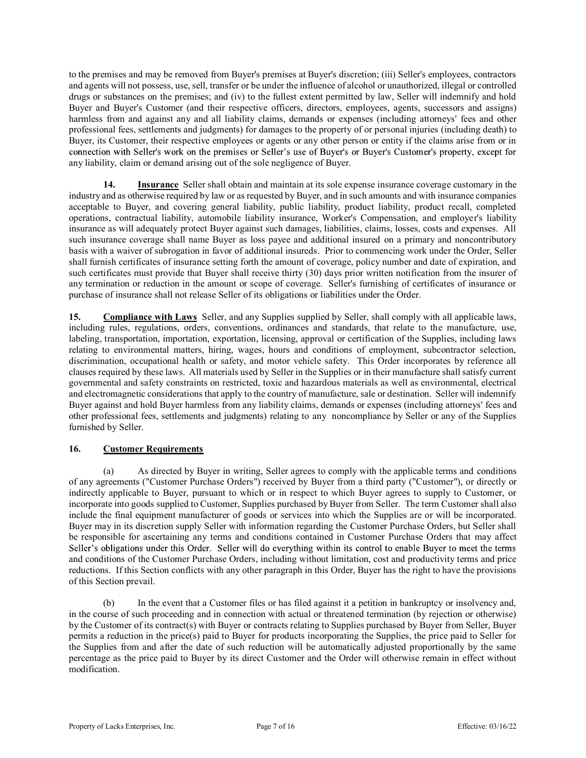to the premises and may be removed from Buyer's premises at Buyer's discretion; (iii) Seller's employees, contractors and agents will not possess, use, sell, transfer or be under the influence of alcohol or unauthorized, illegal or controlled drugs or substances on the premises; and (iv) to the fullest extent permitted by law, Seller will indemnify and hold Buyer and Buyer's Customer (and their respective officers, directors, employees, agents, successors and assigns) harmless from and against any and all liability claims, demands or expenses (including attorneys' fees and other professional fees, settlements and judgments) for damages to the property of or personal injuries (including death) to Buyer, its Customer, their respective employees or agents or any other person or entity if the claims arise from or in connection with Seller's work on the premises or Seller's use of Buyer's or Buyer's Customer's property, except for any liability, claim or demand arising out of the sole negligence of Buyer.

14. Insurance Seller shall obtain and maintain at its sole expense insurance coverage customary in the industry and as otherwise required by law or as requested by Buyer, and in such amounts and with insurance companies acceptable to Buyer, and covering general liability, public liability, product liability, product recall, completed operations, contractual liability, automobile liability insurance, Worker's Compensation, and employer's liability insurance as will adequately protect Buyer against such damages, liabilities, claims, losses, costs and expenses. All such insurance coverage shall name Buyer as loss payee and additional insured on a primary and noncontributory basis with a waiver of subrogation in favor of additional insureds. Prior to commencing work under the Order, Seller shall furnish certificates of insurance setting forth the amount of coverage, policy number and date of expiration, and such certificates must provide that Buyer shall receive thirty (30) days prior written notification from the insurer of any termination or reduction in the amount or scope of coverage. Seller's furnishing of certificates of insurance or purchase of insurance shall not release Seller of its obligations or liabilities under the Order.

15. Compliance with Laws Seller, and any Supplies supplied by Seller, shall comply with all applicable laws, including rules, regulations, orders, conventions, ordinances and standards, that relate to the manufacture, use, labeling, transportation, importation, exportation, licensing, approval or certification of the Supplies, including laws relating to environmental matters, hiring, wages, hours and conditions of employment, subcontractor selection, discrimination, occupational health or safety, and motor vehicle safety. This Order incorporates by reference all clauses required by these laws. All materials used by Seller in the Supplies or in their manufacture shall satisfy current governmental and safety constraints on restricted, toxic and hazardous materials as well as environmental, electrical and electromagnetic considerations that apply to the country of manufacture, sale or destination. Seller will indemnify Buyer against and hold Buyer harmless from any liability claims, demands or expenses (including attorneys' fees and other professional fees, settlements and judgments) relating to any noncompliance by Seller or any of the Supplies furnished by Seller.

# 16. Customer Requirements

(a) As directed by Buyer in writing, Seller agrees to comply with the applicable terms and conditions of any agreements ("Customer Purchase Orders") received by Buyer from a third party ("Customer"), or directly or indirectly applicable to Buyer, pursuant to which or in respect to which Buyer agrees to supply to Customer, or incorporate into goods supplied to Customer, Supplies purchased by Buyer from Seller. The term Customer shall also include the final equipment manufacturer of goods or services into which the Supplies are or will be incorporated. Buyer may in its discretion supply Seller with information regarding the Customer Purchase Orders, but Seller shall be responsible for ascertaining any terms and conditions contained in Customer Purchase Orders that may affect<br>Seller's obligations under this Order. Seller will do everything within its control to enable Buyer to meet the and conditions of the Customer Purchase Orders, including without limitation, cost and productivity terms and price reductions. If this Section conflicts with any other paragraph in this Order, Buyer has the right to have the provisions of this Section prevail.

 (b) In the event that a Customer files or has filed against it a petition in bankruptcy or insolvency and, in the course of such proceeding and in connection with actual or threatened termination (by rejection or otherwise) by the Customer of its contract(s) with Buyer or contracts relating to Supplies purchased by Buyer from Seller, Buyer permits a reduction in the price(s) paid to Buyer for products incorporating the Supplies, the price paid to Seller for the Supplies from and after the date of such reduction will be automatically adjusted proportionally by the same percentage as the price paid to Buyer by its direct Customer and the Order will otherwise remain in effect without modification.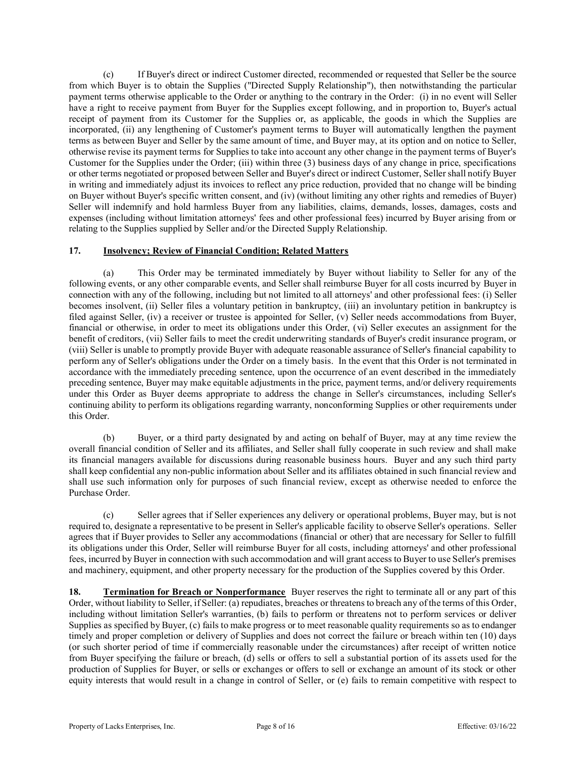(c) If Buyer's direct or indirect Customer directed, recommended or requested that Seller be the source from which Buyer is to obtain the Supplies ("Directed Supply Relationship"), then notwithstanding the particular payment terms otherwise applicable to the Order or anything to the contrary in the Order: (i) in no event will Seller have a right to receive payment from Buyer for the Supplies except following, and in proportion to, Buyer's actual receipt of payment from its Customer for the Supplies or, as applicable, the goods in which the Supplies are incorporated, (ii) any lengthening of Customer's payment terms to Buyer will automatically lengthen the payment terms as between Buyer and Seller by the same amount of time, and Buyer may, at its option and on notice to Seller, otherwise revise its payment terms for Supplies to take into account any other change in the payment terms of Buyer's Customer for the Supplies under the Order; (iii) within three (3) business days of any change in price, specifications or other terms negotiated or proposed between Seller and Buyer's direct or indirect Customer, Seller shall notify Buyer in writing and immediately adjust its invoices to reflect any price reduction, provided that no change will be binding on Buyer without Buyer's specific written consent, and (iv) (without limiting any other rights and remedies of Buyer) Seller will indemnify and hold harmless Buyer from any liabilities, claims, demands, losses, damages, costs and expenses (including without limitation attorneys' fees and other professional fees) incurred by Buyer arising from or relating to the Supplies supplied by Seller and/or the Directed Supply Relationship.

### 17. Insolvency; Review of Financial Condition; Related Matters

 (a) This Order may be terminated immediately by Buyer without liability to Seller for any of the following events, or any other comparable events, and Seller shall reimburse Buyer for all costs incurred by Buyer in connection with any of the following, including but not limited to all attorneys' and other professional fees: (i) Seller becomes insolvent, (ii) Seller files a voluntary petition in bankruptcy, (iii) an involuntary petition in bankruptcy is filed against Seller, (iv) a receiver or trustee is appointed for Seller, (v) Seller needs accommodations from Buyer, financial or otherwise, in order to meet its obligations under this Order, (vi) Seller executes an assignment for the benefit of creditors, (vii) Seller fails to meet the credit underwriting standards of Buyer's credit insurance program, or (viii) Seller is unable to promptly provide Buyer with adequate reasonable assurance of Seller's financial capability to perform any of Seller's obligations under the Order on a timely basis. In the event that this Order is not terminated in accordance with the immediately preceding sentence, upon the occurrence of an event described in the immediately preceding sentence, Buyer may make equitable adjustments in the price, payment terms, and/or delivery requirements under this Order as Buyer deems appropriate to address the change in Seller's circumstances, including Seller's continuing ability to perform its obligations regarding warranty, nonconforming Supplies or other requirements under this Order.

 (b) Buyer, or a third party designated by and acting on behalf of Buyer, may at any time review the overall financial condition of Seller and its affiliates, and Seller shall fully cooperate in such review and shall make its financial managers available for discussions during reasonable business hours. Buyer and any such third party shall keep confidential any non-public information about Seller and its affiliates obtained in such financial review and shall use such information only for purposes of such financial review, except as otherwise needed to enforce the Purchase Order.

 (c) Seller agrees that if Seller experiences any delivery or operational problems, Buyer may, but is not required to, designate a representative to be present in Seller's applicable facility to observe Seller's operations. Seller agrees that if Buyer provides to Seller any accommodations (financial or other) that are necessary for Seller to fulfill its obligations under this Order, Seller will reimburse Buyer for all costs, including attorneys' and other professional fees, incurred by Buyer in connection with such accommodation and will grant access to Buyer to use Seller's premises and machinery, equipment, and other property necessary for the production of the Supplies covered by this Order.

18. Termination for Breach or Nonperformance Buyer reserves the right to terminate all or any part of this Order, without liability to Seller, if Seller: (a) repudiates, breaches or threatens to breach any of the terms of this Order, including without limitation Seller's warranties, (b) fails to perform or threatens not to perform services or deliver Supplies as specified by Buyer, (c) fails to make progress or to meet reasonable quality requirements so as to endanger timely and proper completion or delivery of Supplies and does not correct the failure or breach within ten (10) days (or such shorter period of time if commercially reasonable under the circumstances) after receipt of written notice from Buyer specifying the failure or breach, (d) sells or offers to sell a substantial portion of its assets used for the production of Supplies for Buyer, or sells or exchanges or offers to sell or exchange an amount of its stock or other equity interests that would result in a change in control of Seller, or (e) fails to remain competitive with respect to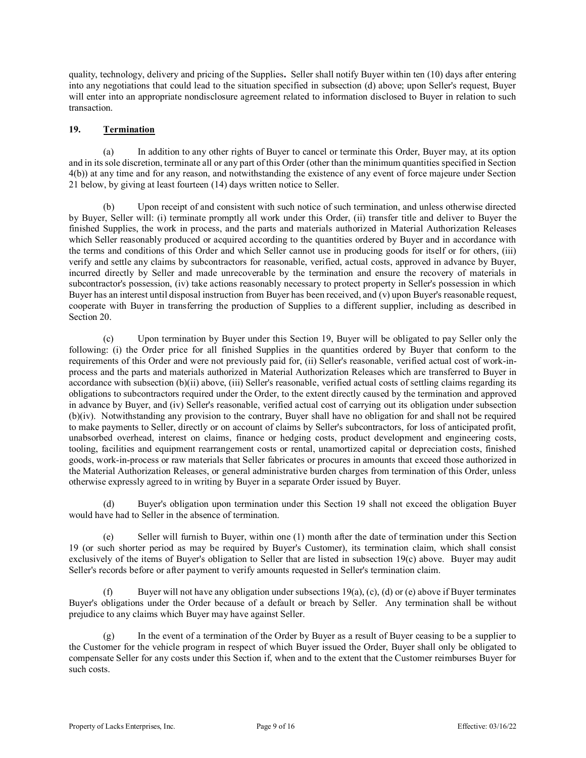quality, technology, delivery and pricing of the Supplies. Seller shall notify Buyer within ten (10) days after entering into any negotiations that could lead to the situation specified in subsection (d) above; upon Seller's request, Buyer will enter into an appropriate nondisclosure agreement related to information disclosed to Buyer in relation to such transaction.

# 19. Termination

 (a) In addition to any other rights of Buyer to cancel or terminate this Order, Buyer may, at its option and in its sole discretion, terminate all or any part of this Order (other than the minimum quantities specified in Section 4(b)) at any time and for any reason, and notwithstanding the existence of any event of force majeure under Section 21 below, by giving at least fourteen (14) days written notice to Seller.

 (b) Upon receipt of and consistent with such notice of such termination, and unless otherwise directed by Buyer, Seller will: (i) terminate promptly all work under this Order, (ii) transfer title and deliver to Buyer the finished Supplies, the work in process, and the parts and materials authorized in Material Authorization Releases which Seller reasonably produced or acquired according to the quantities ordered by Buyer and in accordance with the terms and conditions of this Order and which Seller cannot use in producing goods for itself or for others, (iii) verify and settle any claims by subcontractors for reasonable, verified, actual costs, approved in advance by Buyer, incurred directly by Seller and made unrecoverable by the termination and ensure the recovery of materials in subcontractor's possession, (iv) take actions reasonably necessary to protect property in Seller's possession in which Buyer has an interest until disposal instruction from Buyer has been received, and (v) upon Buyer's reasonable request, cooperate with Buyer in transferring the production of Supplies to a different supplier, including as described in Section 20.

 (c) Upon termination by Buyer under this Section 19, Buyer will be obligated to pay Seller only the following: (i) the Order price for all finished Supplies in the quantities ordered by Buyer that conform to the requirements of this Order and were not previously paid for, (ii) Seller's reasonable, verified actual cost of work-inprocess and the parts and materials authorized in Material Authorization Releases which are transferred to Buyer in accordance with subsection (b)(ii) above, (iii) Seller's reasonable, verified actual costs of settling claims regarding its obligations to subcontractors required under the Order, to the extent directly caused by the termination and approved in advance by Buyer, and (iv) Seller's reasonable, verified actual cost of carrying out its obligation under subsection (b)(iv). Notwithstanding any provision to the contrary, Buyer shall have no obligation for and shall n 4(b)) at any time und for any reason, and notwithstanding the existence of any event of force majeure under Section (b) then we have the contrary in least fourteer (b) dues no required for divident with such notice to Sel to make payments to Seller, directly or on account of claims by Seller's subcontractors, for loss of anticipated profit, unabsorbed overhead, interest on claims, finance or hedging costs, product development and engineering costs, tooling, facilities and equipment rearrangement costs or rental, unamortized capital or depreciation costs, finished goods, work-in-process or raw materials that Seller fabricates or procures in amounts that exceed those authorized in the Material Authorization Releases, or general administrative burden charges from termination of this Order, unless otherwise expressly agreed to in writing by Buyer in a separate Order issued by Buyer.

(d) Buyer's obligation upon termination under this Section 19 shall not exceed the obligation Buyer would have had to Seller in the absence of termination.

 (e) Seller will furnish to Buyer, within one (1) month after the date of termination under this Section 19 (or such shorter period as may be required by Buyer's Customer), its termination claim, which shall consist exclusively of the items of Buyer's obligation to Seller that are listed in subsection 19(c) above. Buyer may audit Seller's records before or after payment to verify amounts requested in Seller's termination claim.

(f) Buyer will not have any obligation under subsections  $19(a)$ , (c), (d) or (e) above if Buyer terminates Buyer's obligations under the Order because of a default or breach by Seller. Any termination shall be without prejudice to any claims which Buyer may have against Seller.

 (g) In the event of a termination of the Order by Buyer as a result of Buyer ceasing to be a supplier to the Customer for the vehicle program in respect of which Buyer issued the Order, Buyer shall only be obligated to compensate Seller for any costs under this Section if, when and to the extent that the Customer reimburses Buyer for such costs.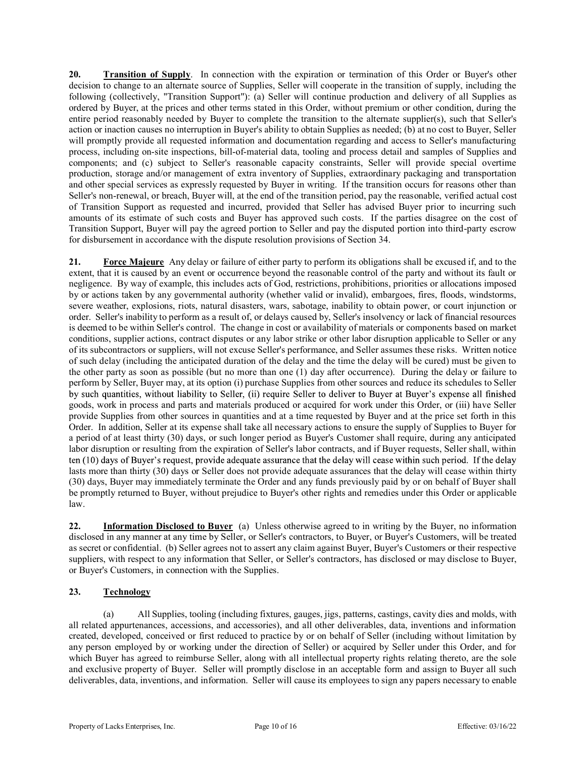20. Transition of Supply. In connection with the expiration or termination of this Order or Buyer's other decision to change to an alternate source of Supplies, Seller will cooperate in the transition of supply, including the following (collectively, "Transition Support"): (a) Seller will continue production and delivery of all Supplies as ordered by Buyer, at the prices and other terms stated in this Order, without premium or other condition, during the entire period reasonably needed by Buyer to complete the transition to the alternate supplier(s), such that Seller's action or inaction causes no interruption in Buyer's ability to obtain Supplies as needed; (b) at no cost to Buyer, Seller will promptly provide all requested information and documentation regarding and access to Seller's manufacturing process, including on-site inspections, bill-of-material data, tooling and process detail and samples of Supplies and components; and (c) subject to Seller's reasonable capacity constraints, Seller will provide special overtime production, storage and/or management of extra inventory of Supplies, extraordinary packaging and transportation and other special services as expressly requested by Buyer in writing. If the transition occurs for reasons other than Seller's non-renewal, or breach, Buyer will, at the end of the transition period, pay the reasonable, verified actual cost of Transition Support as requested and incurred, provided that Seller has advised Buyer prior to incurring such amounts of its estimate of such costs and Buyer has approved such costs. If the parties disagree on the cost of Transition Support, Buyer will pay the agreed portion to Seller and pay the disputed portion into third-party escrow for disbursement in accordance with the dispute resolution provisions of Section 34.

21. Force Majeure Any delay or failure of either party to perform its obligations shall be excused if, and to the extent, that it is caused by an event or occurrence beyond the reasonable control of the party and without its fault or negligence. By way of example, this includes acts of God, restrictions, prohibitions, priorities or allocations imposed by or actions taken by any governmental authority (whether valid or invalid), embargoes, fires, floods, windstorms, severe weather, explosions, riots, natural disasters, wars, sabotage, inability to obtain power, or court injunction or order. Seller's inability to perform as a result of, or delays caused by, Seller's insolvency or lack of financial resources is deemed to be within Seller's control. The change in cost or availability of materials or components based on market conditions, supplier actions, contract disputes or any labor strike or other labor disruption applicable to Seller or any of its subcontractors or suppliers, will not excuse Seller's performance, and Seller assumes these risks. Written notice of such delay (including the anticipated duration of the delay and the time the delay will be cured) must be given to the other party as soon as possible (but no more than one (1) day after occurrence). During the delay or failure to perform by Seller, Buyer may, at its option (i) purchase Supplies from other sources and reduce its schedules to Seller by such quantities, without liability to Seller, (ii) require Seller to deliver to Buyer at Buyer's expense all finished goods, work in process and parts and materials produced or acquired for work under this Order, or (iii) have Seller provide Supplies from other sources in quantities and at a time requested by Buyer and at the price set forth in this Order. In addition, Seller at its expense shall take all necessary actions to ensure the supply of Supplies to Buyer for a period of at least thirty (30) days, or such longer period as Buyer's Customer shall require, during any anticipated labor disruption or resulting from the expiration of Seller's labor contracts, and if Buyer requests, Seller shall, within ten (10) days of Buyer's request, provide adequate assurance that the delay will cease within such period. If the delay lasts more than thirty (30) days or Seller does not provide adequate assurances that the delay will cease within thirty (30) days, Buyer may immediately terminate the Order and any funds previously paid by or on behalf of Buyer shall be promptly returned to Buyer, without prejudice to Buyer's other rights and remedies under this Order or applicable law.

22. **Information Disclosed to Buyer** (a) Unless otherwise agreed to in writing by the Buyer, no information disclosed in any manner at any time by Seller, or Seller's contractors, to Buyer, or Buyer's Customers, will be treated as secret or confidential. (b) Seller agrees not to assert any claim against Buyer, Buyer's Customers or their respective suppliers, with respect to any information that Seller, or Seller's contractors, has disclosed or may disclose to Buyer, or Buyer's Customers, in connection with the Supplies.

# 23. Technology

(a) All Supplies, tooling (including fixtures, gauges, jigs, patterns, castings, cavity dies and molds, with all related appurtenances, accessions, and accessories), and all other deliverables, data, inventions and information created, developed, conceived or first reduced to practice by or on behalf of Seller (including without limitation by any person employed by or working under the direction of Seller) or acquired by Seller under this Order, and for which Buyer has agreed to reimburse Seller, along with all intellectual property rights relating thereto, are the sole and exclusive property of Buyer. Seller will promptly disclose in an acceptable form and assign to Buyer all such deliverables, data, inventions, and information. Seller will cause its employees to sign any papers necessary to enable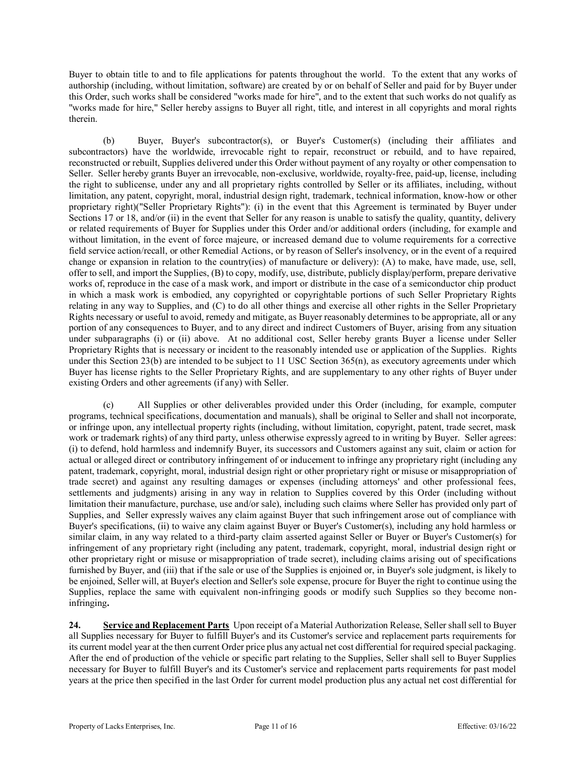Buyer to obtain title to and to file applications for patents throughout the world. To the extent that any works of authorship (including, without limitation, software) are created by or on behalf of Seller and paid for by Buyer under this Order, such works shall be considered "works made for hire", and to the extent that such works do not qualify as "works made for hire," Seller hereby assigns to Buyer all right, title, and interest in all copyrights and moral rights therein.

 (b) Buyer, Buyer's subcontractor(s), or Buyer's Customer(s) (including their affiliates and subcontractors) have the worldwide, irrevocable right to repair, reconstruct or rebuild, and to have repaired, reconstructed or rebuilt, Supplies delivered under this Order without payment of any royalty or other compensation to Seller. Seller hereby grants Buyer an irrevocable, non-exclusive, worldwide, royalty-free, paid-up, license, including the right to sublicense, under any and all proprietary rights controlled by Seller or its affiliates, including, without limitation, any patent, copyright, moral, industrial design right, trademark, technical information, know-how or other proprietary right)("Seller Proprietary Rights"): (i) in the event that this Agreement is terminated by Buyer under Sections 17 or 18, and/or (ii) in the event that Seller for any reason is unable to satisfy the quality, quantity, delivery or related requirements of Buyer for Supplies under this Order and/or additional orders (including, for example and without limitation, in the event of force majeure, or increased demand due to volume requirements for a corrective field service action/recall, or other Remedial Actions, or by reason of Seller's insolvency, or in the event of a required change or expansion in relation to the country(ies) of manufacture or delivery): (A) to make, have made, use, sell, offer to sell, and import the Supplies, (B) to copy, modify, use, distribute, publicly display/perform, prepare derivative works of, reproduce in the case of a mask work, and import or distribute in the case of a semiconductor chip product in which a mask work is embodied, any copyrighted or copyrightable portions of such Seller Proprietary Rights relating in any way to Supplies, and (C) to do all other things and exercise all other rights in the Seller Proprietary Rights necessary or useful to avoid, remedy and mitigate, as Buyer reasonably determines to be appropriate, all or any portion of any consequences to Buyer, and to any direct and indirect Customers of Buyer, arising from any situation under subparagraphs (i) or (ii) above. At no additional cost, Seller hereby grants Buyer a license under Seller Proprietary Rights that is necessary or incident to the reasonably intended use or application of the Supplies. Rights under this Section 23(b) are intended to be subject to 11 USC Section 365(n), as executory agreements under which Buyer has license rights to the Seller Proprietary Rights, and are supplementary to any other rights of Buyer under existing Orders and other agreements (if any) with Seller.

 (c) All Supplies or other deliverables provided under this Order (including, for example, computer programs, technical specifications, documentation and manuals), shall be original to Seller and shall not incorporate, or infringe upon, any intellectual property rights (including, without limitation, copyright, patent, trade secret, mask work or trademark rights) of any third party, unless otherwise expressly agreed to in writing by Buyer. Seller agrees: (i) to defend, hold harmless and indemnify Buyer, its successors and Customers against any suit, claim or action for actual or alleged direct or contributory infringement of or inducement to infringe any proprietary right (including any patent, trademark, copyright, moral, industrial design right or other proprietary right or misuse or misappropriation of trade secret) and against any resulting damages or expenses (including attorneys' and other professional fees, settlements and judgments) arising in any way in relation to Supplies covered by this Order (including without limitation their manufacture, purchase, use and/or sale), including such claims where Seller has provided only part of Supplies, and Seller expressly waives any claim against Buyer that such infringement arose out of compliance with Buyer's specifications, (ii) to waive any claim against Buyer or Buyer's Customer(s), including any hold harmless or similar claim, in any way related to a third-party claim asserted against Seller or Buyer or Buyer's Customer(s) for infringement of any proprietary right (including any patent, trademark, copyright, moral, industrial design right or other proprietary right or misuse or misappropriation of trade secret), including claims arising out of specifications furnished by Buyer, and (iii) that if the sale or use of the Supplies is enjoined or, in Buyer's sole judgment, is likely to be enjoined, Seller will, at Buyer's election and Seller's sole expense, procure for Buyer the right to continue using the Supplies, replace the same with equivalent non-infringing goods or modify such Supplies so they become noninfringing.

24. Service and Replacement Parts Upon receipt of a Material Authorization Release, Seller shall sell to Buyer all Supplies necessary for Buyer to fulfill Buyer's and its Customer's service and replacement parts requirements for its current model year at the then current Order price plus any actual net cost differential for required special packaging. After the end of production of the vehicle or specific part relating to the Supplies, Seller shall sell to Buyer Supplies necessary for Buyer to fulfill Buyer's and its Customer's service and replacement parts requirements for past model years at the price then specified in the last Order for current model production plus any actual net cost differential for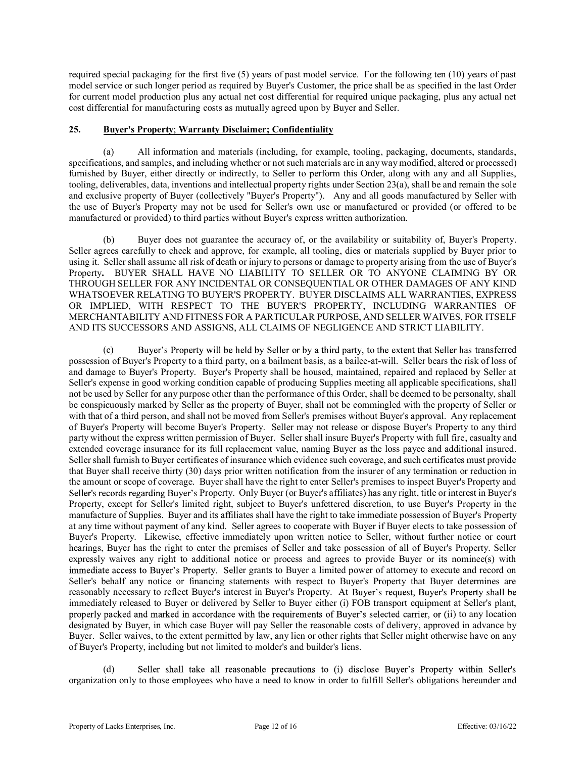required special packaging for the first five (5) years of past model service. For the following ten (10) years of past model service or such longer period as required by Buyer's Customer, the price shall be as specified in the last Order for current model production plus any actual net cost differential for required unique packaging, plus any actual net cost differential for manufacturing costs as mutually agreed upon by Buyer and Seller.

### 25. Buyer's Property; Warranty Disclaimer; Confidentiality

 (a) All information and materials (including, for example, tooling, packaging, documents, standards, specifications, and samples, and including whether or not such materials are in any way modified, altered or processed) furnished by Buyer, either directly or indirectly, to Seller to perform this Order, along with any and all Supplies, tooling, deliverables, data, inventions and intellectual property rights under Section 23(a), shall be and remain the sole<br>and exclusive property of Buyer (collectively "Buyer's Property"). Any and all goods manufactured b required special packaging for the first five (5) years of past model service. For the following ten (10) years of past<br>model service or such longer period as required by Buyer's Customer, the price shall be as specified i the use of Buyer's Property may not be used for Seller's own use or manufactured or provided (or offered to be manufactured or provided) to third parties without Buyer's express written authorization.

Buyer does not guarantee the accuracy of, or the availability or suitability of, Buyer's Property. Seller agrees carefully to check and approve, for example, all tooling, dies or materials supplied by Buyer prior to using it. Seller shall assume all risk of death or injury to persons or damage to property arising from the use of Buyer's Property. BUYER SHALL HAVE NO LIABILITY TO SELLER OR TO ANYONE CLAIMING BY OR THROUGH SELLER FOR ANY INCIDENTAL OR CONSEQUENTIAL OR OTHER DAMAGES OF ANY KIND WHATSOEVER RELATING TO BUYER'S PROPERTY. BUYER DISCLAIMS ALL WARRANTIES, EXPRESS OR IMPLIED, WITH RESPECT TO THE BUYER'S PROPERTY, INCLUDING WARRANTIES OF MERCHANTABILITY AND FITNESS FOR A PARTICULAR PURPOSE, AND SELLER WAIVES, FOR ITSELF AND ITS SUCCESSORS AND ASSIGNS, ALL CLAIMS OF NEGLIGENCE AND STRICT LIABILITY.

(c) Buyer's Property will be held by Seller or by a third party, to the extent that Seller has transferred possession of Buyer's Property to a third party, on a bailment basis, as a bailee-at-will. Seller bears the risk of loss of and damage to Buyer's Property. Buyer's Property shall be housed, maintained, repaired and replaced by Seller at Seller's expense in good working condition capable of producing Supplies meeting all applicable specifications, shall not be used by Seller for any purpose other than the performance of this Order, shall be deemed to be personalty, shall be conspicuously marked by Seller as the property of Buyer, shall not be commingled with the property of Seller or with that of a third person, and shall not be moved from Seller's premises without Buyer's approval. Any replacement of Buyer's Property will become Buyer's Property. Seller may not release or dispose Buyer's Property to any third party without the express written permission of Buyer. Seller shall insure Buyer's Property with full fire, casualty and extended coverage insurance for its full replacement value, naming Buyer as the loss payee and additional insured. Seller shall furnish to Buyer certificates of insurance which evidence such coverage, and such certificates must provide that Buyer shall receive thirty (30) days prior written notification from the insurer of any termination or reduction in the amount or scope of coverage. Buyer shall have the right to enter Seller's premises to inspect Buyer's Property and Seller's records regarding Buyer's Property. Only Buyer (or Buyer's affiliates) has any right, title or interest in Buyer's Property, except for Seller's limited right, subject to Buyer's unfettered discretion, to use Buyer's Property in the manufacture of Supplies. Buyer and its affiliates shall have the right to take immediate possession of Buyer's Property at any time without payment of any kind. Seller agrees to cooperate with Buyer if Buyer elects to take possession of Buyer's Property. Likewise, effective immediately upon written notice to Seller, without further notice or court hearings, Buyer has the right to enter the premises of Seller and take possession of all of Buyer's Property. Seller expressly waives any right to additional notice or process and agrees to provide Buyer or its nominee(s) with immediate access to Buyer's Property. Seller grants to Buyer a limited power of attorney to execute and record on Seller's behalf any notice or financing statements with respect to Buyer's Property that Buyer determines are reasonably necessary to reflect Buyer's interest in Buyer's Property. At Buyer's request, Buyer's Property shall be immediately released to Buyer or delivered by Seller to Buyer either (i) FOB transport equipment at Seller's plant, properly packed and marked in accordance with the requirements of Buyer's selected carrier, or (ii) to any location designated by Buyer, in which case Buyer will pay Seller the reasonable costs of delivery, approved in advance by Buyer. Seller waives, to the extent permitted by law, any lien or other rights that Seller might otherwise have on any of Buyer's Property, including but not limited to molder's and builder's liens.

(d) Seller shall take all reasonable precautions to (i) disclose Buyer's Property within Seller's organization only to those employees who have a need to know in order to fulfill Seller's obligations hereunder and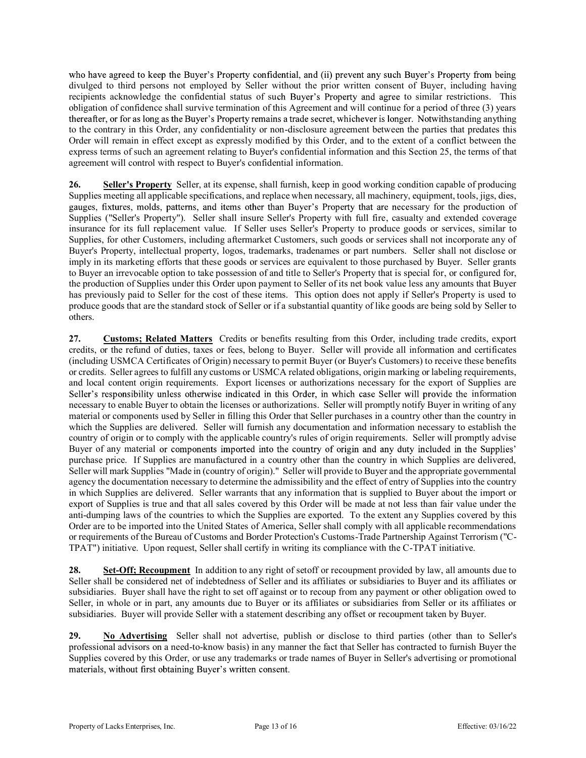who have agreed to keep the Buyer's Property confidential, and (ii) prevent any such Buyer's Property from being divulged to third persons not employed by Seller without the prior written consent of Buyer, including having recipients acknowledge the confidential status of such Buyer's Property and agree to similar restrictions. This obligation of confidence shall survive termination of this Agreement and will continue for a period of three (3) years thereafter, or for as long as the Buver's Property remains a trade secret, whichever is longer. Notwithstanding anything to the contrary in this Order, any confidentiality or non-disclosure agreement between the parties that predates this Order will remain in effect except as expressly modified by this Order, and to the extent of a conflict between the express terms of such an agreement relating to Buyer's confidential information and this Section 25, the terms of that agreement will control with respect to Buyer's confidential information.

26. Seller's Property Seller, at its expense, shall furnish, keep in good working condition capable of producing Supplies meeting all applicable specifications, and replace when necessary, all machinery, equipment, tools, jigs, dies, gauges, fixtures, molds, patterns, and items other than Buyer's Property that are necessary for the production of Supplies ("Seller's Property"). Seller shall insure Seller's Property with full fire, casualty and extended coverage insurance for its full replacement value. If Seller uses Seller's Property to produce goods or services, similar to Supplies, for other Customers, including aftermarket Customers, such goods or services shall not incorporate any of Buyer's Property, intellectual property, logos, trademarks, tradenames or part numbers. Seller shall not disclose or imply in its marketing efforts that these goods or services are equivalent to those purchased by Buyer. Seller grants to Buyer an irrevocable option to take possession of and title to Seller's Property that is special for, or configured for, the production of Supplies under this Order upon payment to Seller of its net book value less any amounts that Buyer has previously paid to Seller for the cost of these items. This option does not apply if Seller's Property is used to produce goods that are the standard stock of Seller or if a substantial quantity of like goods are being sold by Seller to others.

27. Customs; Related Matters Credits or benefits resulting from this Order, including trade credits, export credits, or the refund of duties, taxes or fees, belong to Buyer. Seller will provide all information and certificates (including USMCA Certificates of Origin) necessary to permit Buyer (or Buyer's Customers) to receive these benefits or credits. Seller agrees to fulfill any customs or USMCA related obligations, origin marking or labeling requirements, and local content origin requirements. Export licenses or authorizations necessary for the export of Supplies are Seller's responsibility unless otherwise indicated in this Order, in which case Seller will provide the information necessary to enable Buyer to obtain the licenses or authorizations. Seller will promptly notify Buyer in writing of any material or components used by Seller in filling this Order that Seller purchases in a country other than the country in which the Supplies are delivered. Seller will furnish any documentation and information necessary to establish the country of origin or to comply with the applicable country's rules of origin requirements. Seller will promptly advise Buyer of any material or components imported into the country of origin and any duty included in the Supplies' purchase price. If Supplies are manufactured in a country other than the country in which Supplies are delivered, Seller will mark Supplies "Made in (country of origin)." Seller will provide to Buyer and the appropriate governmental agency the documentation necessary to determine the admissibility and the effect of entry of Supplies into the country in which Supplies are delivered. Seller warrants that any information that is supplied to Buyer about the import or export of Supplies is true and that all sales covered by this Order will be made at not less than fair value under the anti-dumping laws of the countries to which the Supplies are exported. To the extent any Supplies covered by this Order are to be imported into the United States of America, Seller shall comply with all applicable recommendations or requirements of the Bureau of Customs and Border Protection's Customs-Trade Partnership Against Terrorism ("C-TPAT") initiative. Upon request, Seller shall certify in writing its compliance with the C-TPAT initiative.

28. Set-Off; Recoupment In addition to any right of setoff or recoupment provided by law, all amounts due to Seller shall be considered net of indebtedness of Seller and its affiliates or subsidiaries to Buyer and its affiliates or subsidiaries. Buyer shall have the right to set off against or to recoup from any payment or other obligation owed to Seller, in whole or in part, any amounts due to Buyer or its affiliates or subsidiaries from Seller or its affiliates or subsidiaries. Buyer will provide Seller with a statement describing any offset or recoupment taken by Buyer.

29. No Advertising Seller shall not advertise, publish or disclose to third parties (other than to Seller's professional advisors on a need-to-know basis) in any manner the fact that Seller has contracted to furnish Buyer the Supplies covered by this Order, or use any trademarks or trade names of Buyer in Seller's advertising or promotional materials, without first obtaining Buyer's written consent.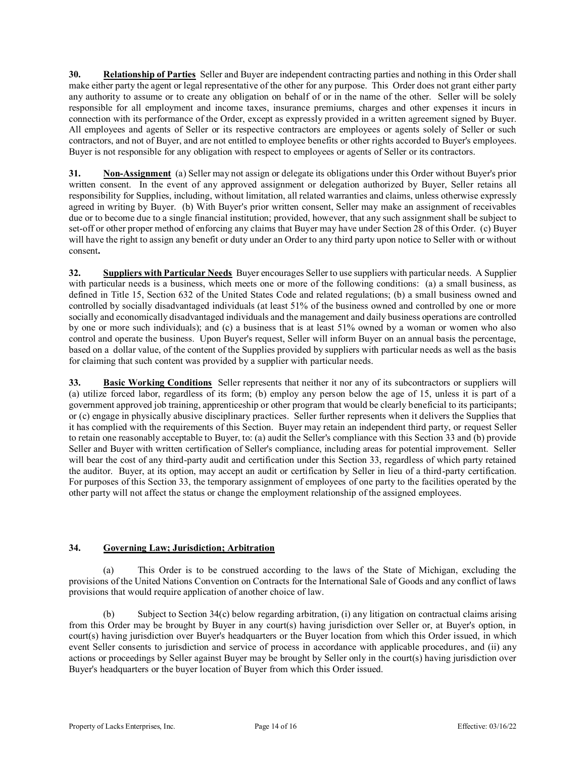30. Relationship of Parties Seller and Buyer are independent contracting parties and nothing in this Order shall make either party the agent or legal representative of the other for any purpose. This Order does not grant either party any authority to assume or to create any obligation on behalf of or in the name of the other. Seller **30. Relationship of Parties** Seller and Buyer are independent contracting parties and nothing in this Order shall make either party the agent or legal representative of the other for any purpose. This Order does not gra responsible for all employment and income taxes, insurance premiums, charges and other expenses it incurs in connection with its performance of the Order, except as expressly provided in a written agreement signed by Buyer. All employees and agents of Seller or its respective contractors are employees or agents solely of Seller or such contractors, and not of Buyer, and are not entitled to employee benefits or other rights accorded to Buyer's employees. Buyer is not responsible for any obligation with respect to employees or agents of Seller or its contractors.

31. Non-Assignment (a) Seller may not assign or delegate its obligations under this Order without Buyer's prior written consent. In the event of any approved assignment or delegation authorized by Buyer, Seller retains all responsibility for Supplies, including, without limitation, all related warranties and claims, unless otherwise expressly agreed in writing by Buyer. (b) With Buyer's prior written consent, Seller may make an assignment of receivables due or to become due to a single financial institution; provided, however, that any such assignment shall be subject to set-off or other proper method of enforcing any claims that Buyer may have under Section 28 of this Order. (c) Buyer will have the right to assign any benefit or duty under an Order to any third party upon notice to Seller with or without consent.

32. Suppliers with Particular Needs Buyer encourages Seller to use suppliers with particular needs. A Supplier with particular needs is a business, which meets one or more of the following conditions: (a) a small business, as defined in Title 15, Section 632 of the United States Code and related regulations; (b) a small business owned and controlled by socially disadvantaged individuals (at least 51% of the business owned and controlled by one or more socially and economically disadvantaged individuals and the management and daily business operations are controlled by one or more such individuals); and (c) a business that is at least 51% owned by a woman or women who also control and operate the business. Upon Buyer's request, Seller will inform Buyer on an annual basis the percentage, based on a dollar value, of the content of the Supplies provided by suppliers with particular needs as well as the basis for claiming that such content was provided by a supplier with particular needs.

33. Basic Working Conditions Seller represents that neither it nor any of its subcontractors or suppliers will (a) utilize forced labor, regardless of its form; (b) employ any person below the age of 15, unless it is part of a government approved job training, apprenticeship or other program that would be clearly beneficial to its participants; or (c) engage in physically abusive disciplinary practices. Seller further represents when it delivers the Supplies that it has complied with the requirements of this Section. Buyer may retain an independent third party, or request Seller to retain one reasonably acceptable to Buyer, to: (a) audit the Seller's compliance with this Section 33 and (b) provide Seller and Buyer with written certification of Seller's compliance, including areas for potential improvement. Seller will bear the cost of any third-party audit and certification under this Section 33, regardless of which party retained the auditor. Buyer, at its option, may accept an audit or certification by Seller in lieu of a third-party certification. For purposes of this Section 33, the temporary assignment of employees of one party to the facilities operated by the other party will not affect the status or change the employment relationship of the assigned employees. It has complied with the requirements of this Section. Hayer may redain an independent third party, or request Seller<br>to retain one reasonably acceptable to Buyer, to: (a) andit the Seller's compliance with this Section 3

# 34. Governing Law; Jurisdiction; Arbitration

 (a) This Order is to be construed according to the laws of the State of Michigan, excluding the provisions of the United Nations Convention on Contracts for the International Sale of Goods and any conflict of laws provisions that would require application of another choice of law.

 (b) Subject to Section 34(c) below regarding arbitration, (i) any litigation on contractual claims arising from this Order may be brought by Buyer in any court(s) having jurisdiction over Seller or, at Buyer's option, in court(s) having jurisdiction over Buyer's headquarters or the Buyer location from which this Order issued, in which event Seller consents to jurisdiction and service of process in accordance with applicable procedures, and (ii) any actions or proceedings by Seller against Buyer may be brought by Seller only in the court(s) having jurisdiction over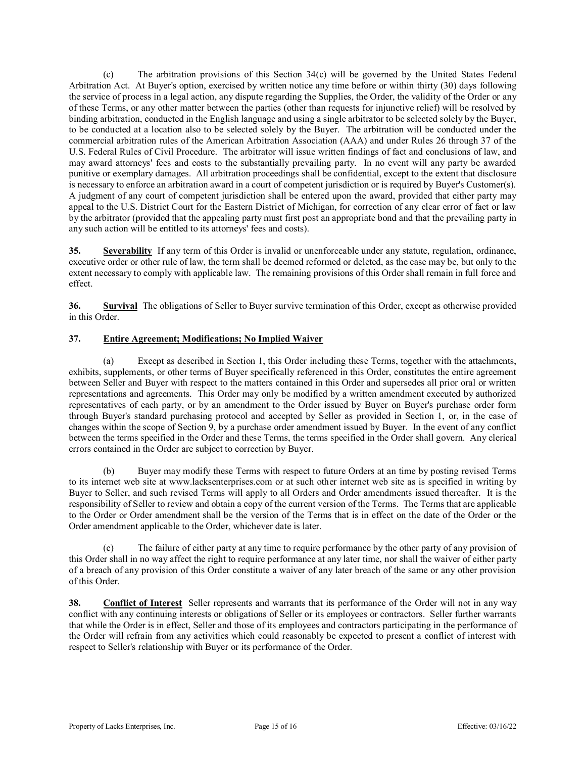(c) The arbitration provisions of this Section 34(c) will be governed by the United States Federal Arbitration Act. At Buyer's option, exercised by written notice any time before or within thirty (30) days following the service of process in a legal action, any dispute regarding the Supplies, the Order, the validity of the Order or any of these Terms, or any other matter between the parties (other than requests for injunctive relief) will be resolved by binding arbitration, conducted in the English language and using a single arbitrator to be selected solely by the Buyer, to be conducted at a location also to be selected solely by the Buyer. The arbitration will be conducted under the commercial arbitration rules of the American Arbitration Association (AAA) and under Rules 26 through 37 of the U.S. Federal Rules of Civil Procedure. The arbitrator will issue written findings of fact and conclusions of law, and may award attorneys' fees and costs to the substantially prevailing party. In no event will any party be awarded punitive or exemplary damages. All arbitration proceedings shall be confidential, except to the extent that disclosure is necessary to enforce an arbitration award in a court of competent jurisdiction or is required by Buyer's Customer(s). A judgment of any court of competent jurisdiction shall be entered upon the award, provided that either party may appeal to the U.S. District Court for the Eastern District of Michigan, for correction of any clear error of fact or law by the arbitrator (provided that the appealing party must first post an appropriate bond and that the prevailing party in any such action will be entitled to its attorneys' fees and costs). binding arbitration, cionducted in the Finglish lumping same during as induction to be selected solely by the Payer. The abitration will be conducted under the conducted at a location also to be selected solely by the Bay

35. Severability If any term of this Order is invalid or unenforceable under any statute, regulation, ordinance, executive order or other rule of law, the term shall be deemed reformed or deleted, as the case may be, but only to the extent necessary to comply with applicable law. The remaining provisions of this Order shall remain in full force and effect.

36. Survival The obligations of Seller to Buyer survive termination of this Order, except as otherwise provided in this Order.

# 37. Entire Agreement; Modifications; No Implied Waiver

exhibits, supplements, or other terms of Buyer specifically referenced in this Order, constitutes the entire agreement between Seller and Buyer with respect to the matters contained in this Order and supersedes all prior oral or written representations and agreements. This Order may only be modified by a written amendment executed by authorized representatives of each party, or by an amendment to the Order issued by Buyer on Buyer's purchase order form through Buyer's standard purchasing protocol and accepted by Seller as provided in Section 1, or, in the case of changes within the scope of Section 9, by a purchase order amendment issued by Buyer. In the event of any conflict between the terms specified in the Order and these Terms, the terms specified in the Order shall govern. Any clerical errors contained in the Order are subject to correction by Buyer. **15. Severability** If any term of bits Order is invalid or unen forceable under any statute, regulation, ordinance, executive order or other rule of law, the term shall be deened reformed or deleted, as the case may be,

 (b) Buyer may modify these Terms with respect to future Orders at an time by posting revised Terms Buyer to Seller, and such revised Terms will apply to all Orders and Order amendments issued thereafter. It is the responsibility of Seller to review and obtain a copy of the current version of the Terms. The Terms that are applicable to the Order or Order amendment shall be the version of the Terms that is in effect on the date of the Order or the Order amendment applicable to the Order, whichever date is later.

 (c) The failure of either party at any time to require performance by the other party of any provision of this Order shall in no way affect the right to require performance at any later time, nor shall the waiver of either party of a breach of any provision of this Order constitute a waiver of any later breach of the same or any other provision of this Order.

38. Conflict of Interest Seller represents and warrants that its performance of the Order will not in any way conflict with any continuing interests or obligations of Seller or its employees or contractors. Seller further warrants that while the Order is in effect, Seller and those of its employees and contractors participating in the performance of the Order will refrain from any activities which could reasonably be expected to present a conflict of interest with respect to Seller's relationship with Buyer or its performance of the Order.